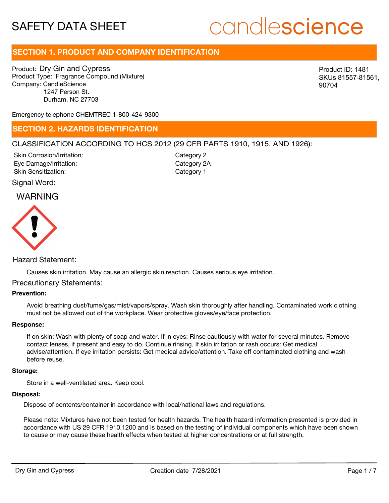## candlescience

#### **SECTION 1. PRODUCT AND COMPANY IDENTIFICATION**

Product: Dry Gin and Cypress Product Type: Fragrance Compound (Mixture) Company: CandleScience 1247 Person St. Durham, NC 27703

Product ID: 1481 SKUs 81557-81561, 90704

Emergency telephone CHEMTREC 1-800-424-9300

#### **SECTION 2. HAZARDS IDENTIFICATION**

#### CLASSIFICATION ACCORDING TO HCS 2012 (29 CFR PARTS 1910, 1915, AND 1926):

Skin Corrosion/Irritation: Eye Damage/Irritation: Skin Sensitization:

Category 2 Category 2A Category 1

#### Signal Word:

#### WARNING



#### Hazard Statement:

Causes skin irritation. May cause an allergic skin reaction. Causes serious eye irritation.

#### Precautionary Statements:

#### **Prevention:**

Avoid breathing dust/fume/gas/mist/vapors/spray. Wash skin thoroughly after handling. Contaminated work clothing must not be allowed out of the workplace. Wear protective gloves/eye/face protection.

#### **Response:**

If on skin: Wash with plenty of soap and water. If in eyes: Rinse cautiously with water for several minutes. Remove contact lenses, if present and easy to do. Continue rinsing. If skin irritation or rash occurs: Get medical advise/attention. If eye irritation persists: Get medical advice/attention. Take off contaminated clothing and wash before reuse.

#### **Storage:**

Store in a well-ventilated area. Keep cool.

#### **Disposal:**

Dispose of contents/container in accordance with local/national laws and regulations.

Please note: Mixtures have not been tested for health hazards. The health hazard information presented is provided in accordance with US 29 CFR 1910.1200 and is based on the testing of individual components which have been shown to cause or may cause these health effects when tested at higher concentrations or at full strength.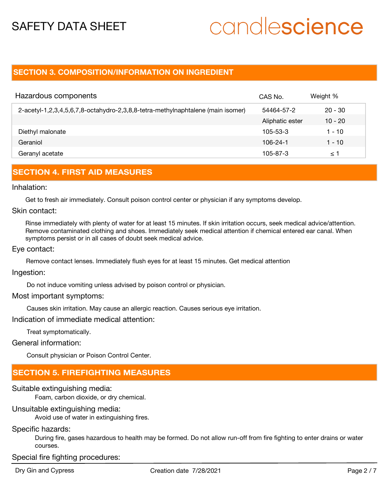# candlescience

#### **SECTION 3. COMPOSITION/INFORMATION ON INGREDIENT**

| Hazardous components                                                            | CAS No.         | Weight %  |
|---------------------------------------------------------------------------------|-----------------|-----------|
| 2-acetyl-1,2,3,4,5,6,7,8-octahydro-2,3,8,8-tetra-methylnaphtalene (main isomer) | 54464-57-2      | $20 - 30$ |
|                                                                                 | Aliphatic ester | $10 - 20$ |
| Diethyl malonate                                                                | $105 - 53 - 3$  | 1 - 10    |
| Geraniol                                                                        | 106-24-1        | 1 - 10    |
| Geranyl acetate                                                                 | 105-87-3        | ≤ 1       |

#### **SECTION 4. FIRST AID MEASURES**

#### Inhalation:

Get to fresh air immediately. Consult poison control center or physician if any symptoms develop.

#### Skin contact:

Rinse immediately with plenty of water for at least 15 minutes. If skin irritation occurs, seek medical advice/attention. Remove contaminated clothing and shoes. Immediately seek medical attention if chemical entered ear canal. When symptoms persist or in all cases of doubt seek medical advice.

#### Eye contact:

Remove contact lenses. Immediately flush eyes for at least 15 minutes. Get medical attention

#### Ingestion:

Do not induce vomiting unless advised by poison control or physician.

#### Most important symptoms:

Causes skin irritation. May cause an allergic reaction. Causes serious eye irritation.

Indication of immediate medical attention:

Treat symptomatically.

#### General information:

Consult physician or Poison Control Center.

#### **SECTION 5. FIREFIGHTING MEASURES**

#### Suitable extinguishing media:

Foam, carbon dioxide, or dry chemical.

#### Unsuitable extinguishing media:

Avoid use of water in extinguishing fires.

#### Specific hazards:

During fire, gases hazardous to health may be formed. Do not allow run-off from fire fighting to enter drains or water courses.

#### Special fire fighting procedures: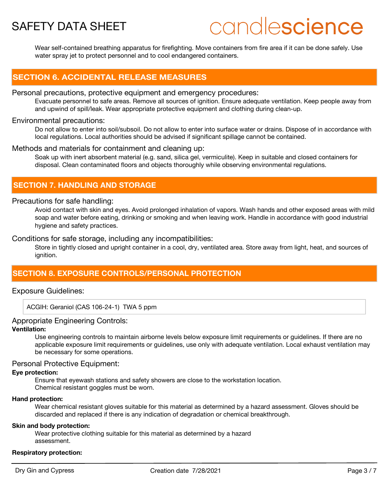## candlescience

Wear self-contained breathing apparatus for firefighting. Move containers from fire area if it can be done safely. Use water spray jet to protect personnel and to cool endangered containers.

#### **SECTION 6. ACCIDENTAL RELEASE MEASURES**

#### Personal precautions, protective equipment and emergency procedures:

Evacuate personnel to safe areas. Remove all sources of ignition. Ensure adequate ventilation. Keep people away from and upwind of spill/leak. Wear appropriate protective equipment and clothing during clean-up.

#### Environmental precautions:

Do not allow to enter into soil/subsoil. Do not allow to enter into surface water or drains. Dispose of in accordance with local regulations. Local authorities should be advised if significant spillage cannot be contained.

#### Methods and materials for containment and cleaning up:

Soak up with inert absorbent material (e.g. sand, silica gel, vermiculite). Keep in suitable and closed containers for disposal. Clean contaminated floors and objects thoroughly while observing environmental regulations.

#### **SECTION 7. HANDLING AND STORAGE**

#### Precautions for safe handling:

Avoid contact with skin and eyes. Avoid prolonged inhalation of vapors. Wash hands and other exposed areas with mild soap and water before eating, drinking or smoking and when leaving work. Handle in accordance with good industrial hygiene and safety practices.

#### Conditions for safe storage, including any incompatibilities:

Store in tightly closed and upright container in a cool, dry, ventilated area. Store away from light, heat, and sources of ianition.

#### **SECTION 8. EXPOSURE CONTROLS/PERSONAL PROTECTION**

#### Exposure Guidelines:

ACGIH: Geraniol (CAS 106-24-1) TWA 5 ppm

#### Appropriate Engineering Controls:

#### **Ventilation:**

Use engineering controls to maintain airborne levels below exposure limit requirements or guidelines. If there are no applicable exposure limit requirements or guidelines, use only with adequate ventilation. Local exhaust ventilation may be necessary for some operations.

#### Personal Protective Equipment:

#### **Eye protection:**

Ensure that eyewash stations and safety showers are close to the workstation location. Chemical resistant goggles must be worn.

#### **Hand protection:**

Wear chemical resistant gloves suitable for this material as determined by a hazard assessment. Gloves should be discarded and replaced if there is any indication of degradation or chemical breakthrough.

#### **Skin and body protection:**

Wear protective clothing suitable for this material as determined by a hazard assessment.

#### **Respiratory protection:**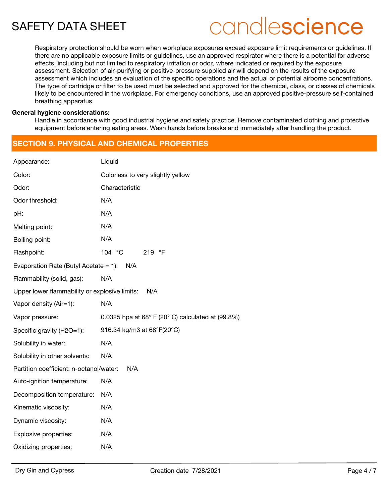## candlescience

Respiratory protection should be worn when workplace exposures exceed exposure limit requirements or guidelines. If there are no applicable exposure limits or guidelines, use an approved respirator where there is a potential for adverse effects, including but not limited to respiratory irritation or odor, where indicated or required by the exposure assessment. Selection of air-purifying or positive-pressure supplied air will depend on the results of the exposure assessment which includes an evaluation of the specific operations and the actual or potential airborne concentrations. The type of cartridge or filter to be used must be selected and approved for the chemical, class, or classes of chemicals likely to be encountered in the workplace. For emergency conditions, use an approved positive-pressure self-contained breathing apparatus.

#### **General hygiene considerations:**

Handle in accordance with good industrial hygiene and safety practice. Remove contaminated clothing and protective equipment before entering eating areas. Wash hands before breaks and immediately after handling the product.

#### **SECTION 9. PHYSICAL AND CHEMICAL PROPERTIES**

| Appearance:                                          | Liquid                                                               |  |  |  |
|------------------------------------------------------|----------------------------------------------------------------------|--|--|--|
| Color:                                               | Colorless to very slightly yellow                                    |  |  |  |
| Odor:                                                | Characteristic                                                       |  |  |  |
| Odor threshold:                                      | N/A                                                                  |  |  |  |
| pH:                                                  | N/A                                                                  |  |  |  |
| Melting point:                                       | N/A                                                                  |  |  |  |
| Boiling point:                                       | N/A                                                                  |  |  |  |
| Flashpoint:                                          | 104 °C<br>219 °F                                                     |  |  |  |
| Evaporation Rate (Butyl Acetate $= 1$ ):<br>N/A      |                                                                      |  |  |  |
| Flammability (solid, gas):                           | N/A                                                                  |  |  |  |
| Upper lower flammability or explosive limits:<br>N/A |                                                                      |  |  |  |
| Vapor density (Air=1):                               | N/A                                                                  |  |  |  |
| Vapor pressure:                                      | 0.0325 hpa at $68^{\circ}$ F (20 $^{\circ}$ C) calculated at (99.8%) |  |  |  |
| Specific gravity (H2O=1):                            | 916.34 kg/m3 at 68°F(20°C)                                           |  |  |  |
| Solubility in water:                                 | N/A                                                                  |  |  |  |
| Solubility in other solvents:                        | N/A                                                                  |  |  |  |
| N/A<br>Partition coefficient: n-octanol/water:       |                                                                      |  |  |  |
| Auto-ignition temperature:                           | N/A                                                                  |  |  |  |
| Decomposition temperature:                           | N/A                                                                  |  |  |  |
| Kinematic viscosity:                                 | N/A                                                                  |  |  |  |
| Dynamic viscosity:                                   | N/A                                                                  |  |  |  |
| Explosive properties:                                | N/A                                                                  |  |  |  |
| Oxidizing properties:                                | N/A                                                                  |  |  |  |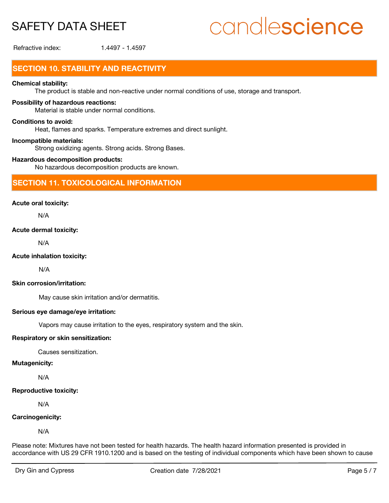# candlescience

Refractive index: 1.4497 - 1.4597

### **SECTION 10. STABILITY AND REACTIVITY**

#### **Chemical stability:**

The product is stable and non-reactive under normal conditions of use, storage and transport.

#### **Possibility of hazardous reactions:**

Material is stable under normal conditions.

#### **Conditions to avoid:**

Heat, flames and sparks. Temperature extremes and direct sunlight.

#### **Incompatible materials:**

Strong oxidizing agents. Strong acids. Strong Bases.

#### **Hazardous decomposition products:**

No hazardous decomposition products are known.

#### **SECTION 11. TOXICOLOGICAL INFORMATION**

#### **Acute oral toxicity:**

N/A

#### **Acute dermal toxicity:**

N/A

#### **Acute inhalation toxicity:**

N/A

#### **Skin corrosion/irritation:**

May cause skin irritation and/or dermatitis.

#### **Serious eye damage/eye irritation:**

Vapors may cause irritation to the eyes, respiratory system and the skin.

#### **Respiratory or skin sensitization:**

Causes sensitization.

#### **Mutagenicity:**

N/A

#### **Reproductive toxicity:**

N/A

#### **Carcinogenicity:**

N/A

Please note: Mixtures have not been tested for health hazards. The health hazard information presented is provided in accordance with US 29 CFR 1910.1200 and is based on the testing of individual components which have been shown to cause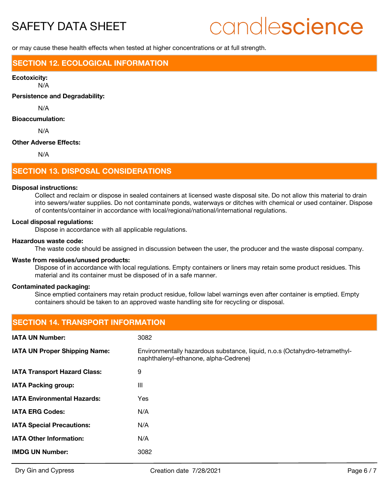## candlescience

or may cause these health effects when tested at higher concentrations or at full strength.

#### **SECTION 12. ECOLOGICAL INFORMATION**

#### **Ecotoxicity:**

N/A

**Persistence and Degradability:**

N/A

#### **Bioaccumulation:**

N/A

#### **Other Adverse Effects:**

N/A

#### **SECTION 13. DISPOSAL CONSIDERATIONS**

#### **Disposal instructions:**

Collect and reclaim or dispose in sealed containers at licensed waste disposal site. Do not allow this material to drain into sewers/water supplies. Do not contaminate ponds, waterways or ditches with chemical or used container. Dispose of contents/container in accordance with local/regional/national/international regulations.

#### **Local disposal regulations:**

Dispose in accordance with all applicable regulations.

#### **Hazardous waste code:**

The waste code should be assigned in discussion between the user, the producer and the waste disposal company.

#### **Waste from residues/unused products:**

Dispose of in accordance with local regulations. Empty containers or liners may retain some product residues. This material and its container must be disposed of in a safe manner.

#### **Contaminated packaging:**

Since emptied containers may retain product residue, follow label warnings even after container is emptied. Empty containers should be taken to an approved waste handling site for recycling or disposal.

### **SECTION 14. TRANSPORT INFORMATION IATA UN Number:** 3082 Environmentally hazardous substance, liquid, n.o.s (Octahydro-tetramethylnaphthalenyl-ethanone, alpha-Cedrene) **IATA UN Proper Shipping Name: IATA Transport Hazard Class:** 9 **IATA Packing group:** III **IATA Environmental Hazards:** Yes **IATA ERG Codes:** N/A **IATA Special Precautions:** N/A **IATA Other Information:** N/A **IMDG UN Number:** 3082